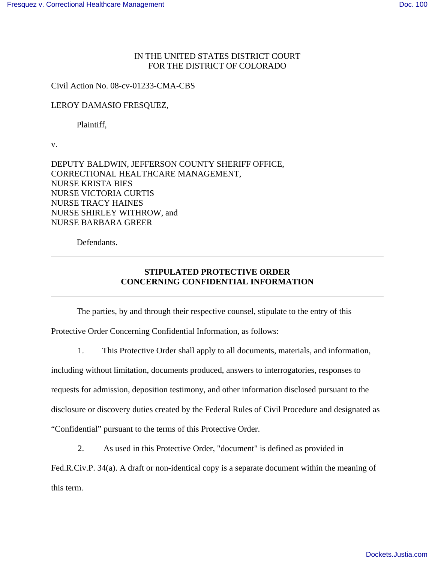## IN THE UNITED STATES DISTRICT COURT FOR THE DISTRICT OF COLORADO

Civil Action No. 08-cv-01233-CMA-CBS

## LEROY DAMASIO FRESQUEZ,

Plaintiff,

v.

DEPUTY BALDWIN, JEFFERSON COUNTY SHERIFF OFFICE, CORRECTIONAL HEALTHCARE MANAGEMENT, NURSE KRISTA BIES NURSE VICTORIA CURTIS NURSE TRACY HAINES NURSE SHIRLEY WITHROW, and NURSE BARBARA GREER

Defendants.

## **STIPULATED PROTECTIVE ORDER CONCERNING CONFIDENTIAL INFORMATION**

The parties, by and through their respective counsel, stipulate to the entry of this Protective Order Concerning Confidential Information, as follows:

1. This Protective Order shall apply to all documents, materials, and information,

including without limitation, documents produced, answers to interrogatories, responses to requests for admission, deposition testimony, and other information disclosed pursuant to the disclosure or discovery duties created by the Federal Rules of Civil Procedure and designated as "Confidential" pursuant to the terms of this Protective Order.

2. As used in this Protective Order, "document" is defined as provided in

Fed.R.Civ.P. 34(a). A draft or non-identical copy is a separate document within the meaning of this term.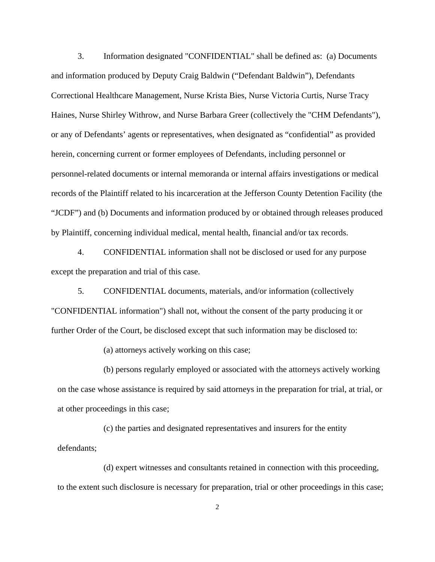3. Information designated "CONFIDENTIAL" shall be defined as: (a) Documents and information produced by Deputy Craig Baldwin ("Defendant Baldwin"), Defendants Correctional Healthcare Management, Nurse Krista Bies, Nurse Victoria Curtis, Nurse Tracy Haines, Nurse Shirley Withrow, and Nurse Barbara Greer (collectively the "CHM Defendants"), or any of Defendants' agents or representatives, when designated as "confidential" as provided herein, concerning current or former employees of Defendants, including personnel or personnel-related documents or internal memoranda or internal affairs investigations or medical records of the Plaintiff related to his incarceration at the Jefferson County Detention Facility (the "JCDF") and (b) Documents and information produced by or obtained through releases produced by Plaintiff, concerning individual medical, mental health, financial and/or tax records.

4. CONFIDENTIAL information shall not be disclosed or used for any purpose except the preparation and trial of this case.

5. CONFIDENTIAL documents, materials, and/or information (collectively "CONFIDENTIAL information") shall not, without the consent of the party producing it or further Order of the Court, be disclosed except that such information may be disclosed to:

(a) attorneys actively working on this case;

(b) persons regularly employed or associated with the attorneys actively working on the case whose assistance is required by said attorneys in the preparation for trial, at trial, or at other proceedings in this case;

(c) the parties and designated representatives and insurers for the entity defendants;

(d) expert witnesses and consultants retained in connection with this proceeding, to the extent such disclosure is necessary for preparation, trial or other proceedings in this case;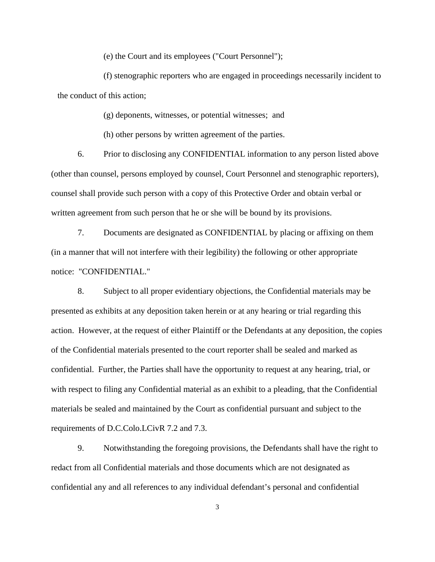(e) the Court and its employees ("Court Personnel");

(f) stenographic reporters who are engaged in proceedings necessarily incident to the conduct of this action;

(g) deponents, witnesses, or potential witnesses; and

(h) other persons by written agreement of the parties.

6. Prior to disclosing any CONFIDENTIAL information to any person listed above (other than counsel, persons employed by counsel, Court Personnel and stenographic reporters), counsel shall provide such person with a copy of this Protective Order and obtain verbal or written agreement from such person that he or she will be bound by its provisions.

7. Documents are designated as CONFIDENTIAL by placing or affixing on them (in a manner that will not interfere with their legibility) the following or other appropriate notice: "CONFIDENTIAL."

8. Subject to all proper evidentiary objections, the Confidential materials may be presented as exhibits at any deposition taken herein or at any hearing or trial regarding this action. However, at the request of either Plaintiff or the Defendants at any deposition, the copies of the Confidential materials presented to the court reporter shall be sealed and marked as confidential. Further, the Parties shall have the opportunity to request at any hearing, trial, or with respect to filing any Confidential material as an exhibit to a pleading, that the Confidential materials be sealed and maintained by the Court as confidential pursuant and subject to the requirements of D.C.Colo.LCivR 7.2 and 7.3.

9. Notwithstanding the foregoing provisions, the Defendants shall have the right to redact from all Confidential materials and those documents which are not designated as confidential any and all references to any individual defendant's personal and confidential

3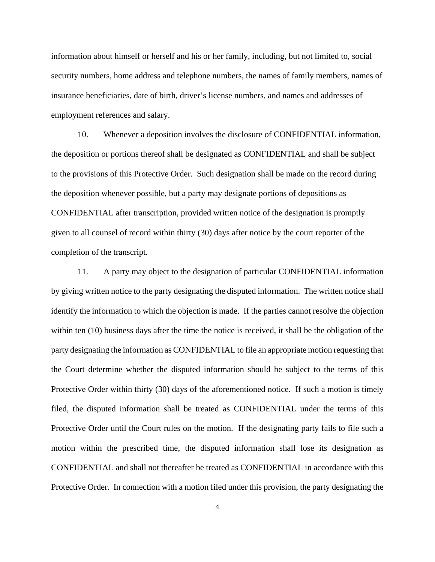information about himself or herself and his or her family, including, but not limited to, social security numbers, home address and telephone numbers, the names of family members, names of insurance beneficiaries, date of birth, driver's license numbers, and names and addresses of employment references and salary.

10. Whenever a deposition involves the disclosure of CONFIDENTIAL information, the deposition or portions thereof shall be designated as CONFIDENTIAL and shall be subject to the provisions of this Protective Order. Such designation shall be made on the record during the deposition whenever possible, but a party may designate portions of depositions as CONFIDENTIAL after transcription, provided written notice of the designation is promptly given to all counsel of record within thirty (30) days after notice by the court reporter of the completion of the transcript.

11. A party may object to the designation of particular CONFIDENTIAL information by giving written notice to the party designating the disputed information. The written notice shall identify the information to which the objection is made. If the parties cannot resolve the objection within ten (10) business days after the time the notice is received, it shall be the obligation of the party designating the information as CONFIDENTIAL to file an appropriate motion requesting that the Court determine whether the disputed information should be subject to the terms of this Protective Order within thirty (30) days of the aforementioned notice. If such a motion is timely filed, the disputed information shall be treated as CONFIDENTIAL under the terms of this Protective Order until the Court rules on the motion. If the designating party fails to file such a motion within the prescribed time, the disputed information shall lose its designation as CONFIDENTIAL and shall not thereafter be treated as CONFIDENTIAL in accordance with this Protective Order. In connection with a motion filed under this provision, the party designating the